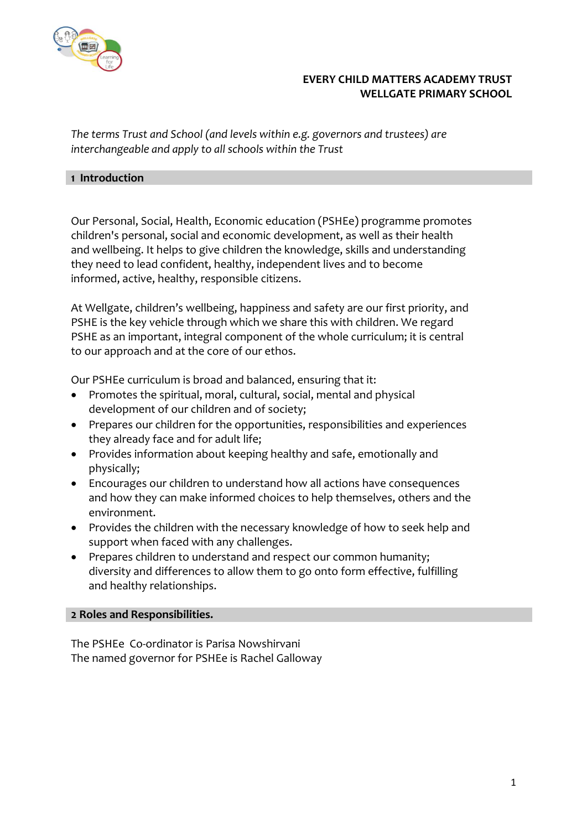

# **EVERY CHILD MATTERS ACADEMY TRUST WELLGATE PRIMARY SCHOOL**

*The terms Trust and School (and levels within e.g. governors and trustees) are interchangeable and apply to all schools within the Trust*

#### **1 Introduction**

Our Personal, Social, Health, Economic education (PSHEe) programme promotes children's personal, social and economic development, as well as their health and wellbeing. It helps to give children the knowledge, skills and understanding they need to lead confident, healthy, independent lives and to become informed, active, healthy, responsible citizens.

At Wellgate, children's wellbeing, happiness and safety are our first priority, and PSHE is the key vehicle through which we share this with children. We regard PSHE as an important, integral component of the whole curriculum; it is central to our approach and at the core of our ethos.

Our PSHEe curriculum is broad and balanced, ensuring that it:

- Promotes the spiritual, moral, cultural, social, mental and physical development of our children and of society;
- Prepares our children for the opportunities, responsibilities and experiences they already face and for adult life;
- Provides information about keeping healthy and safe, emotionally and physically;
- Encourages our children to understand how all actions have consequences and how they can make informed choices to help themselves, others and the environment.
- Provides the children with the necessary knowledge of how to seek help and support when faced with any challenges.
- Prepares children to understand and respect our common humanity; diversity and differences to allow them to go onto form effective, fulfilling and healthy relationships.

### **2 Roles and Responsibilities.**

The PSHEe Co-ordinator is Parisa Nowshirvani The named governor for PSHEe is Rachel Galloway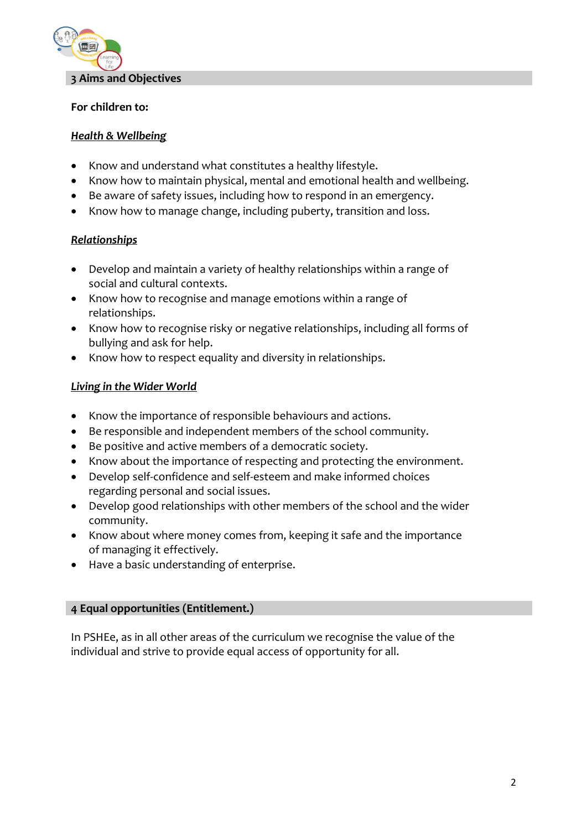

### **For children to:**

# *Health & Wellbeing*

- Know and understand what constitutes a healthy lifestyle.
- Know how to maintain physical, mental and emotional health and wellbeing.
- Be aware of safety issues, including how to respond in an emergency.
- Know how to manage change, including puberty, transition and loss.

# *Relationships*

- Develop and maintain a variety of healthy relationships within a range of social and cultural contexts.
- Know how to recognise and manage emotions within a range of relationships.
- Know how to recognise risky or negative relationships, including all forms of bullying and ask for help.
- Know how to respect equality and diversity in relationships.

# *Living in the Wider World*

- Know the importance of responsible behaviours and actions.
- Be responsible and independent members of the school community.
- Be positive and active members of a democratic society.
- Know about the importance of respecting and protecting the environment.
- Develop self-confidence and self-esteem and make informed choices regarding personal and social issues.
- Develop good relationships with other members of the school and the wider community.
- Know about where money comes from, keeping it safe and the importance of managing it effectively.
- Have a basic understanding of enterprise.

### **4 Equal opportunities (Entitlement.)**

In PSHEe, as in all other areas of the curriculum we recognise the value of the individual and strive to provide equal access of opportunity for all.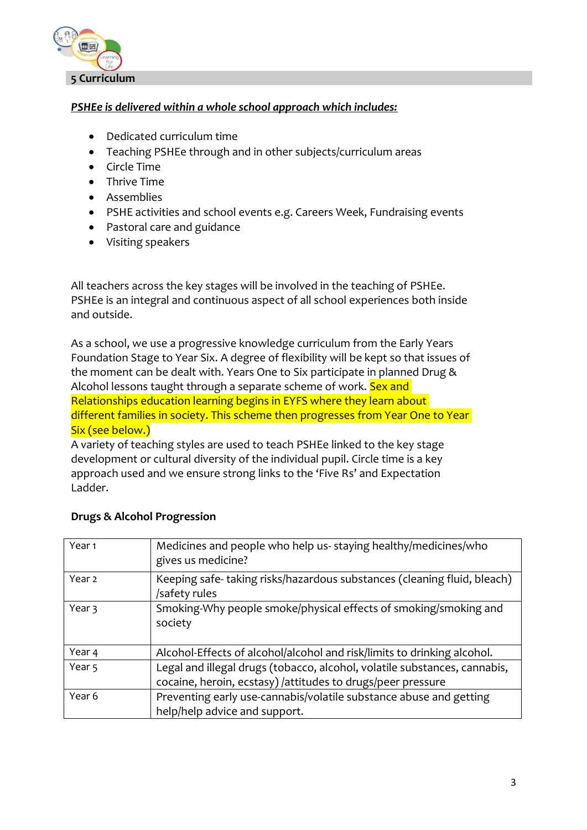

# *PSHEe is delivered within a whole school approach which includes:*

- Dedicated curriculum time
- Teaching PSHEe through and in other subjects/curriculum areas
- Circle Time
- Thrive Time
- Assemblies
- PSHE activities and school events e.g. Careers Week, Fundraising events
- Pastoral care and guidance
- Visiting speakers

All teachers across the key stages will be involved in the teaching of PSHEe. PSHEe is an integral and continuous aspect of all school experiences both inside and outside.

As a school, we use a progressive knowledge curriculum from the Early Years Foundation Stage to Year Six. A degree of flexibility will be kept so that issues of the moment can be dealt with. Years One to Six participate in planned Drug & Alcohol lessons taught through a separate scheme of work. Sex and Relationships education learning begins in EYFS where they learn about different families in society. This scheme then progresses from Year One to Year Six (see below.)

A variety of teaching styles are used to teach PSHEe linked to the key stage development or cultural diversity of the individual pupil. Circle time is a key approach used and we ensure strong links to the 'Five Rs' and Expectation Ladder.

| Year <sub>1</sub> | Medicines and people who help us-staying healthy/medicines/who<br>gives us medicine?                                                     |
|-------------------|------------------------------------------------------------------------------------------------------------------------------------------|
| Year <sub>2</sub> | Keeping safe-taking risks/hazardous substances (cleaning fluid, bleach)<br>/safety rules                                                 |
| Year 3            | Smoking-Why people smoke/physical effects of smoking/smoking and<br>society                                                              |
| Year 4            | Alcohol-Effects of alcohol/alcohol and risk/limits to drinking alcohol.                                                                  |
| Year <sub>5</sub> | Legal and illegal drugs (tobacco, alcohol, volatile substances, cannabis,<br>cocaine, heroin, ecstasy) /attitudes to drugs/peer pressure |
| Year 6            | Preventing early use-cannabis/volatile substance abuse and getting<br>help/help advice and support.                                      |

# **Drugs & Alcohol Progression**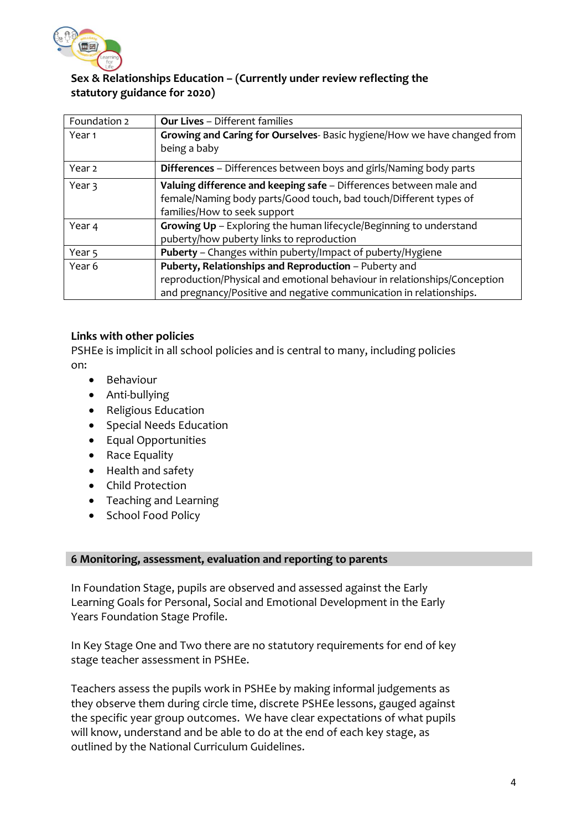

# **Sex & Relationships Education – (Currently under review reflecting the statutory guidance for 2020)**

| Foundation 2      | <b>Our Lives - Different families</b>                                     |
|-------------------|---------------------------------------------------------------------------|
| Year 1            | Growing and Caring for Ourselves- Basic hygiene/How we have changed from  |
|                   | being a baby                                                              |
| Year <sub>2</sub> | <b>Differences</b> - Differences between boys and girls/Naming body parts |
| Year 3            | Valuing difference and keeping safe - Differences between male and        |
|                   | female/Naming body parts/Good touch, bad touch/Different types of         |
|                   | families/How to seek support                                              |
| Year 4            | Growing Up - Exploring the human lifecycle/Beginning to understand        |
|                   | puberty/how puberty links to reproduction                                 |
| Year <sub>5</sub> | Puberty - Changes within puberty/Impact of puberty/Hygiene                |
| Year 6            | Puberty, Relationships and Reproduction - Puberty and                     |
|                   | reproduction/Physical and emotional behaviour in relationships/Conception |
|                   | and pregnancy/Positive and negative communication in relationships.       |

# **Links with other policies**

PSHEe is implicit in all school policies and is central to many, including policies on:

- Behaviour
- Anti-bullying
- Religious Education
- Special Needs Education
- Equal Opportunities
- Race Equality
- Health and safety
- Child Protection
- Teaching and Learning
- School Food Policy

### **6 Monitoring, assessment, evaluation and reporting to parents**

In Foundation Stage, pupils are observed and assessed against the Early Learning Goals for Personal, Social and Emotional Development in the Early Years Foundation Stage Profile.

In Key Stage One and Two there are no statutory requirements for end of key stage teacher assessment in PSHEe.

Teachers assess the pupils work in PSHEe by making informal judgements as they observe them during circle time, discrete PSHEe lessons, gauged against the specific year group outcomes. We have clear expectations of what pupils will know, understand and be able to do at the end of each key stage, as outlined by the National Curriculum Guidelines.